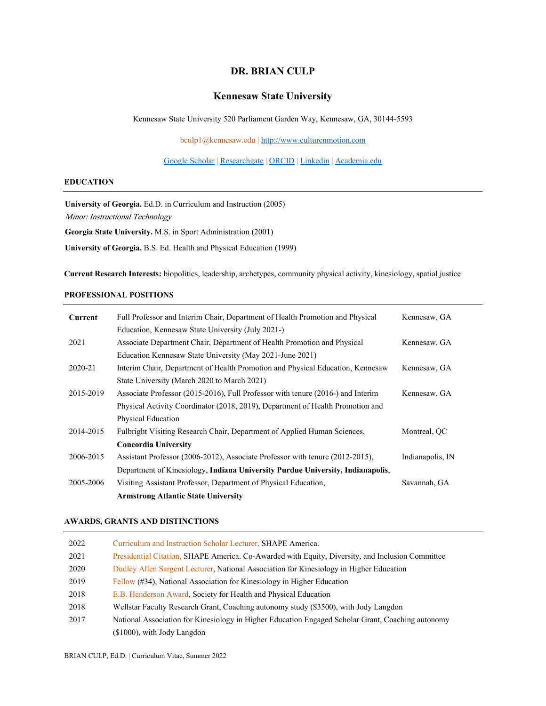# **DR. BRIAN CULP**

# **Kennesaw State University**

Kennesaw State University 520 Parliament Garden Way, Kennesaw, GA, 30144-5593

bculp1@kennesaw.edu | [http://www.culturenmotion.com](http://www.culturenmotion.com/)

[Google Scholar](https://scholar.google.com/citations?hl=en&user=SpNBxJMAAAAJ&view_op=list_works&sortby=pubdate) | [Researchgate](https://www.researchgate.net/profile/Brian_Culp) | [ORCID](https://orcid.org/0000-0001-5587-1979) [| Linkedin](https://www.linkedin.com/in/briculp/) | [Academia.edu](https://kennesaw.academia.edu/BrianCulp?from_navbar=true)

## **EDUCATION**

**University of Georgia.** Ed.D. in Curriculum and Instruction (2005) Minor: Instructional Technology **Georgia State University.** M.S. in Sport Administration (2001)

**University of Georgia.** B.S. Ed. Health and Physical Education (1999)

**Current Research Interests:** biopolitics, leadership, archetypes, community physical activity, kinesiology, spatial justice

# **PROFESSIONAL POSITIONS**

| Current   | Full Professor and Interim Chair, Department of Health Promotion and Physical       | Kennesaw, GA     |
|-----------|-------------------------------------------------------------------------------------|------------------|
|           | Education, Kennesaw State University (July 2021-)                                   |                  |
| 2021      | Associate Department Chair, Department of Health Promotion and Physical             | Kennesaw, GA     |
|           | Education Kennesaw State University (May 2021-June 2021)                            |                  |
| 2020-21   | Interim Chair, Department of Health Promotion and Physical Education, Kennesaw      | Kennesaw, GA     |
|           | State University (March 2020 to March 2021)                                         |                  |
| 2015-2019 | Associate Professor $(2015-2016)$ , Full Professor with tenure $(2016)$ and Interim | Kennesaw, GA     |
|           | Physical Activity Coordinator (2018, 2019), Department of Health Promotion and      |                  |
|           | Physical Education                                                                  |                  |
| 2014-2015 | Fulbright Visiting Research Chair, Department of Applied Human Sciences,            | Montreal, OC     |
|           | <b>Concordia University</b>                                                         |                  |
| 2006-2015 | Assistant Professor (2006-2012), Associate Professor with tenure (2012-2015),       | Indianapolis, IN |
|           | Department of Kinesiology, Indiana University Purdue University, Indianapolis,      |                  |
| 2005-2006 | Visiting Assistant Professor, Department of Physical Education,                     | Savannah, GA     |
|           | <b>Armstrong Atlantic State University</b>                                          |                  |

#### **AWARDS, GRANTS AND DISTINCTIONS**

| 2022 | Curriculum and Instruction Scholar Lecturer, SHAPE America.                                       |
|------|---------------------------------------------------------------------------------------------------|
| 2021 | Presidential Citation, SHAPE America. Co-Awarded with Equity, Diversity, and Inclusion Committee  |
| 2020 | Dudley Allen Sargent Lecturer, National Association for Kinesiology in Higher Education           |
| 2019 | Fellow (#34), National Association for Kinesiology in Higher Education                            |
| 2018 | E.B. Henderson Award, Society for Health and Physical Education                                   |
| 2018 | Wellstar Faculty Research Grant, Coaching autonomy study (\$3500), with Jody Langdon              |
| 2017 | National Association for Kinesiology in Higher Education Engaged Scholar Grant, Coaching autonomy |
|      | $($1000)$ , with Jody Langdon                                                                     |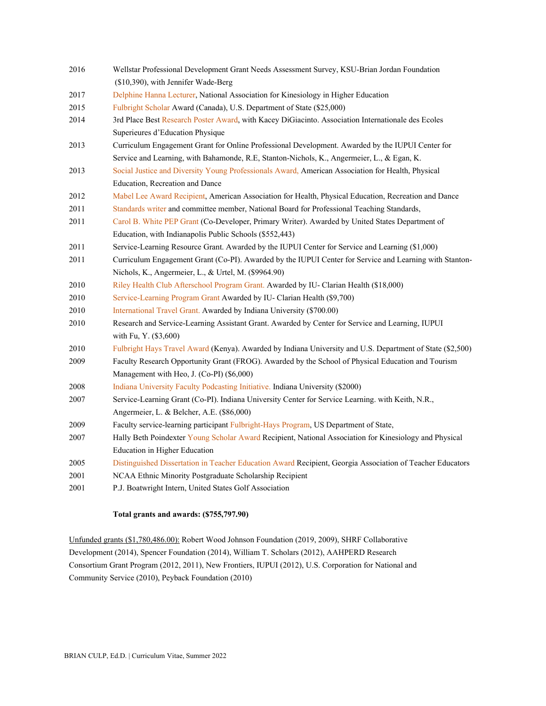- 2016 Wellstar Professional Development Grant Needs Assessment Survey, KSU-Brian Jordan Foundation (\$10,390), with Jennifer Wade-Berg
- 2017 Delphine Hanna Lecturer, National Association for Kinesiology in Higher Education
- 2015 Fulbright Scholar Award (Canada), U.S. Department of State (\$25,000)
- 2014 3rd Place Best Research Poster Award, with Kacey DiGiacinto. Association Internationale des Ecoles Superieures d'Education Physique
- 2013 Curriculum Engagement Grant for Online Professional Development. Awarded by the IUPUI Center for Service and Learning, with Bahamonde, R.E, Stanton-Nichols, K., Angermeier, L., & Egan, K.
- 2013 Social Justice and Diversity Young Professionals Award, American Association for Health, Physical Education, Recreation and Dance
- 2012 Mabel Lee Award Recipient, American Association for Health, Physical Education, Recreation and Dance
- 2011 Standards writer and committee member, National Board for Professional Teaching Standards,
- 2011 Carol B. White PEP Grant (Co-Developer, Primary Writer). Awarded by United States Department of Education, with Indianapolis Public Schools (\$552,443)
- 2011 Service-Learning Resource Grant. Awarded by the IUPUI Center for Service and Learning (\$1,000)
- 2011 Curriculum Engagement Grant (Co-PI). Awarded by the IUPUI Center for Service and Learning with Stanton-Nichols, K., Angermeier, L., & Urtel, M. (\$9964.90)
- 2010 Riley Health Club Afterschool Program Grant. Awarded by IU- Clarian Health (\$18,000)
- 2010 Service-Learning Program Grant Awarded by IU- Clarian Health (\$9,700)
- 2010 International Travel Grant. Awarded by Indiana University (\$700.00)
- 2010 Research and Service-Learning Assistant Grant. Awarded by Center for Service and Learning, IUPUI with Fu, Y. (\$3,600)
- 2010 Fulbright Hays Travel Award (Kenya). Awarded by Indiana University and U.S. Department of State (\$2,500)
- 2009 Faculty Research Opportunity Grant (FROG). Awarded by the School of Physical Education and Tourism Management with Heo, J. (Co-PI) (\$6,000)
- 2008 Indiana University Faculty Podcasting Initiative. Indiana University (\$2000)
- 2007 Service-Learning Grant (Co-PI). Indiana University Center for Service Learning. with Keith, N.R., Angermeier, L. & Belcher, A.E. (\$86,000)
- 2009 Faculty service-learning participant Fulbright-Hays Program, US Department of State,
- 2007 Hally Beth Poindexter Young Scholar Award Recipient, National Association for Kinesiology and Physical Education in Higher Education
- 2005 Distinguished Dissertation in Teacher Education Award Recipient, Georgia Association of Teacher Educators
- 2001 NCAA Ethnic Minority Postgraduate Scholarship Recipient
- 2001 P.J. Boatwright Intern, United States Golf Association

### **Total grants and awards: (\$755,797.90)**

Unfunded grants (\$1,780,486.00): Robert Wood Johnson Foundation (2019, 2009), SHRF Collaborative Development (2014), Spencer Foundation (2014), William T. Scholars (2012), AAHPERD Research Consortium Grant Program (2012, 2011), New Frontiers, IUPUI (2012), U.S. Corporation for National and Community Service (2010), Peyback Foundation (2010)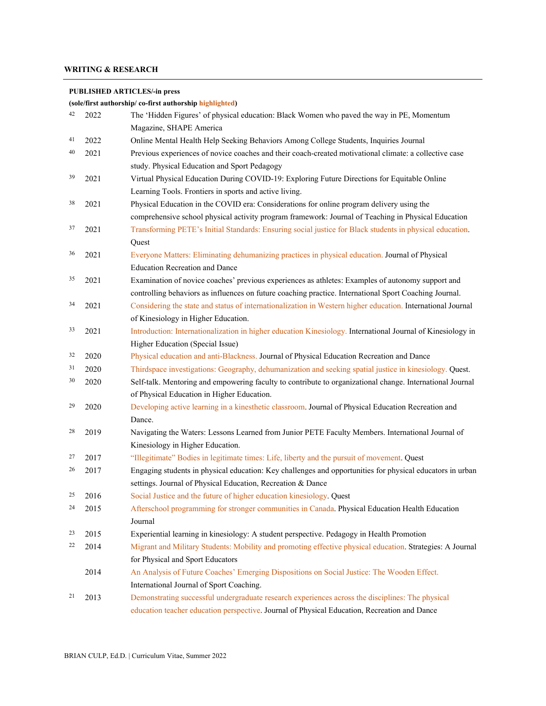# **WRITING & RESEARCH**

### **PUBLISHED ARTICLES/-in press**

**(sole/first authorship/ co-first authorship highlighted)**

| 42 | 2022 | The 'Hidden Figures' of physical education: Black Women who paved the way in PE, Momentum                   |
|----|------|-------------------------------------------------------------------------------------------------------------|
|    |      | Magazine, SHAPE America                                                                                     |
| 41 | 2022 | Online Mental Health Help Seeking Behaviors Among College Students, Inquiries Journal                       |
| 40 | 2021 | Previous experiences of novice coaches and their coach-created motivational climate: a collective case      |
|    |      | study. Physical Education and Sport Pedagogy                                                                |
| 39 | 2021 | Virtual Physical Education During COVID-19: Exploring Future Directions for Equitable Online                |
|    |      | Learning Tools. Frontiers in sports and active living.                                                      |
| 38 | 2021 | Physical Education in the COVID era: Considerations for online program delivery using the                   |
|    |      | comprehensive school physical activity program framework: Journal of Teaching in Physical Education         |
| 37 | 2021 | Transforming PETE's Initial Standards: Ensuring social justice for Black students in physical education.    |
|    |      | Quest                                                                                                       |
| 36 | 2021 | Everyone Matters: Eliminating dehumanizing practices in physical education. Journal of Physical             |
|    |      | <b>Education Recreation and Dance</b>                                                                       |
| 35 | 2021 | Examination of novice coaches' previous experiences as athletes: Examples of autonomy support and           |
|    |      | controlling behaviors as influences on future coaching practice. International Sport Coaching Journal.      |
| 34 | 2021 | Considering the state and status of internationalization in Western higher education. International Journal |
|    |      | of Kinesiology in Higher Education.                                                                         |
| 33 | 2021 | Introduction: Internationalization in higher education Kinesiology. International Journal of Kinesiology in |
|    |      | Higher Education (Special Issue)                                                                            |
| 32 | 2020 | Physical education and anti-Blackness. Journal of Physical Education Recreation and Dance                   |
| 31 | 2020 | Thirdspace investigations: Geography, dehumanization and seeking spatial justice in kinesiology. Quest.     |
| 30 | 2020 | Self-talk. Mentoring and empowering faculty to contribute to organizational change. International Journal   |
|    |      | of Physical Education in Higher Education.                                                                  |
| 29 | 2020 | Developing active learning in a kinesthetic classroom. Journal of Physical Education Recreation and         |
|    |      | Dance.                                                                                                      |
| 28 | 2019 | Navigating the Waters: Lessons Learned from Junior PETE Faculty Members. International Journal of           |
|    |      | Kinesiology in Higher Education.                                                                            |
| 27 | 2017 | "Illegitimate" Bodies in legitimate times: Life, liberty and the pursuit of movement. Quest                 |
| 26 | 2017 | Engaging students in physical education: Key challenges and opportunities for physical educators in urban   |
|    |      | settings. Journal of Physical Education, Recreation & Dance                                                 |
| 25 | 2016 | Social Justice and the future of higher education kinesiology. Quest                                        |
| 24 | 2015 | Afterschool programming for stronger communities in Canada. Physical Education Health Education             |
|    |      | Journal                                                                                                     |
| 23 | 2015 | Experiential learning in kinesiology: A student perspective. Pedagogy in Health Promotion                   |
| 22 | 2014 | Migrant and Military Students: Mobility and promoting effective physical education. Strategies: A Journal   |
|    |      | for Physical and Sport Educators                                                                            |
|    | 2014 | An Analysis of Future Coaches' Emerging Dispositions on Social Justice: The Wooden Effect.                  |
|    |      | International Journal of Sport Coaching.                                                                    |
| 21 | 2013 | Demonstrating successful undergraduate research experiences across the disciplines: The physical            |
|    |      | education teacher education perspective. Journal of Physical Education, Recreation and Dance                |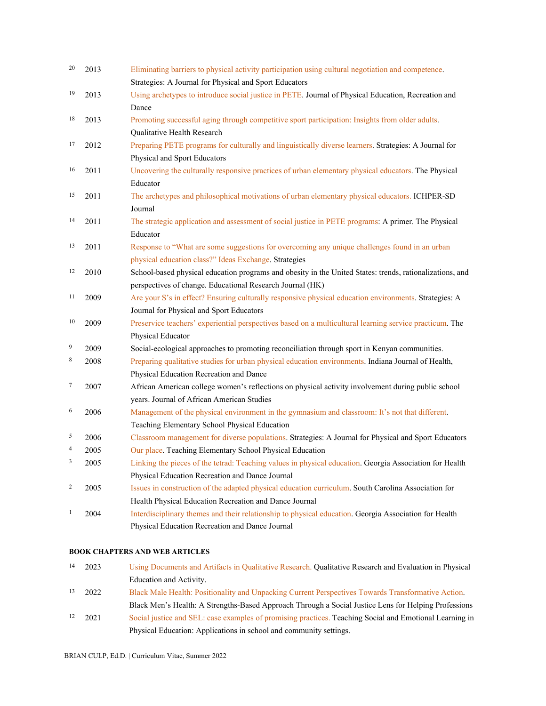| 20                      | 2013 | Eliminating barriers to physical activity participation using cultural negotiation and competence.       |
|-------------------------|------|----------------------------------------------------------------------------------------------------------|
|                         |      | Strategies: A Journal for Physical and Sport Educators                                                   |
| 19                      | 2013 | Using archetypes to introduce social justice in PETE. Journal of Physical Education, Recreation and      |
|                         |      | Dance                                                                                                    |
| 18                      | 2013 | Promoting successful aging through competitive sport participation: Insights from older adults.          |
|                         |      | Qualitative Health Research                                                                              |
| 17                      | 2012 | Preparing PETE programs for culturally and linguistically diverse learners. Strategies: A Journal for    |
|                         |      | Physical and Sport Educators                                                                             |
| 16                      | 2011 | Uncovering the culturally responsive practices of urban elementary physical educators. The Physical      |
|                         |      | Educator                                                                                                 |
| 15                      | 2011 | The archetypes and philosophical motivations of urban elementary physical educators. ICHPER-SD           |
|                         |      | Journal                                                                                                  |
| 14                      | 2011 | The strategic application and assessment of social justice in PETE programs: A primer. The Physical      |
|                         |      | Educator                                                                                                 |
| 13                      | 2011 | Response to "What are some suggestions for overcoming any unique challenges found in an urban            |
|                         |      | physical education class?" Ideas Exchange. Strategies                                                    |
| 12                      | 2010 | School-based physical education programs and obesity in the United States: trends, rationalizations, and |
|                         |      | perspectives of change. Educational Research Journal (HK)                                                |
| 11                      | 2009 | Are your S's in effect? Ensuring culturally responsive physical education environments. Strategies: A    |
|                         |      | Journal for Physical and Sport Educators                                                                 |
| 10                      | 2009 | Preservice teachers' experiential perspectives based on a multicultural learning service practicum. The  |
|                         |      | Physical Educator                                                                                        |
| 9                       | 2009 | Social-ecological approaches to promoting reconciliation through sport in Kenyan communities.            |
| 8                       | 2008 | Preparing qualitative studies for urban physical education environments. Indiana Journal of Health,      |
|                         |      | Physical Education Recreation and Dance                                                                  |
| $\overline{7}$          | 2007 | African American college women's reflections on physical activity involvement during public school       |
|                         |      | years. Journal of African American Studies                                                               |
| 6                       | 2006 | Management of the physical environment in the gymnasium and classroom: It's not that different.          |
|                         |      | Teaching Elementary School Physical Education                                                            |
| 5                       | 2006 | Classroom management for diverse populations. Strategies: A Journal for Physical and Sport Educators     |
| 4                       | 2005 | Our place. Teaching Elementary School Physical Education                                                 |
| 3                       | 2005 | Linking the pieces of the tetrad: Teaching values in physical education. Georgia Association for Health  |
|                         |      | Physical Education Recreation and Dance Journal                                                          |
| $\overline{\mathbf{c}}$ | 2005 | Issues in construction of the adapted physical education curriculum. South Carolina Association for      |
|                         |      | Health Physical Education Recreation and Dance Journal                                                   |
| $\mathbf{1}$            | 2004 | Interdisciplinary themes and their relationship to physical education. Georgia Association for Health    |
|                         |      | Physical Education Recreation and Dance Journal                                                          |

#### **BOOK CHAPTERS AND WEB ARTICLES**

- 14 2023 Using Documents and Artifacts in Qualitative Research. Qualitative Research and Evaluation in Physical Education and Activity.
- <sup>13</sup> 2022 Black Male Health: Positionality and Unpacking Current Perspectives Towards Transformative Action. Black Men's Health: A Strengths-Based Approach Through a Social Justice Lens for Helping Professions
- <sup>12</sup> 2021 Social justice and SEL: case examples of promising practices. Teaching Social and Emotional Learning in Physical Education: Applications in school and community settings.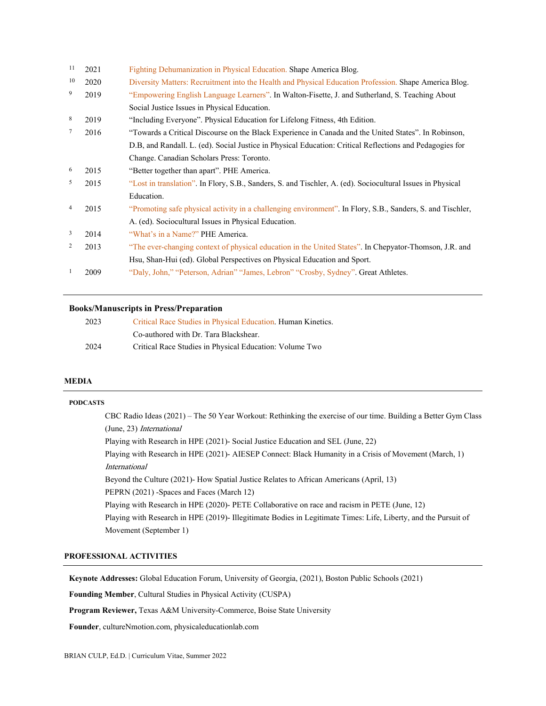| 11              | 2021 | Fighting Dehumanization in Physical Education. Shape America Blog.                                         |
|-----------------|------|------------------------------------------------------------------------------------------------------------|
| 10              | 2020 | Diversity Matters: Recruitment into the Health and Physical Education Profession. Shape America Blog.      |
| 9               | 2019 | "Empowering English Language Learners". In Walton-Fisette, J. and Sutherland, S. Teaching About            |
|                 |      | Social Justice Issues in Physical Education.                                                               |
| 8               | 2019 | "Including Everyone". Physical Education for Lifelong Fitness, 4th Edition.                                |
| $7\phantom{.0}$ | 2016 | "Towards a Critical Discourse on the Black Experience in Canada and the United States". In Robinson,       |
|                 |      | D.B, and Randall, L. (ed). Social Justice in Physical Education: Critical Reflections and Pedagogies for   |
|                 |      | Change. Canadian Scholars Press: Toronto.                                                                  |
| 6               | 2015 | "Better together than apart". PHE America.                                                                 |
| 5               | 2015 | "Lost in translation". In Flory, S.B., Sanders, S. and Tischler, A. (ed). Sociocultural Issues in Physical |
|                 |      | Education.                                                                                                 |
| 4               | 2015 | "Promoting safe physical activity in a challenging environment". In Flory, S.B., Sanders, S. and Tischler, |
|                 |      | A. (ed). Sociocultural Issues in Physical Education.                                                       |
| 3               | 2014 | "What's in a Name?" PHE America.                                                                           |
| 2               | 2013 | "The ever-changing context of physical education in the United States". In Chepyator-Thomson, J.R. and     |
|                 |      | Hsu, Shan-Hui (ed). Global Perspectives on Physical Education and Sport.                                   |
| 1               | 2009 | "Daly, John," "Peterson, Adrian" "James, Lebron" "Crosby, Sydney". Great Athletes.                         |
|                 |      |                                                                                                            |

# **Books/Manuscripts in Press/Preparation**

| 2023 | Critical Race Studies in Physical Education. Human Kinetics. |
|------|--------------------------------------------------------------|
|      | Co-authored with Dr. Tara Blackshear.                        |
| 2024 | Critical Race Studies in Physical Education: Volume Two      |

## **MEDIA**

| <b>PODCASTS</b> |                                                                                                                  |
|-----------------|------------------------------------------------------------------------------------------------------------------|
|                 | CBC Radio Ideas $(2021)$ – The 50 Year Workout: Rethinking the exercise of our time. Building a Better Gym Class |
|                 | (June, 23) International                                                                                         |
|                 | Playing with Research in HPE (2021)- Social Justice Education and SEL (June, 22)                                 |
|                 | Playing with Research in HPE (2021)- AIESEP Connect: Black Humanity in a Crisis of Movement (March, 1)           |
|                 | <i>International</i>                                                                                             |
|                 | Beyond the Culture (2021) How Spatial Justice Relates to African Americans (April, 13)                           |
|                 | PEPRN (2021) -Spaces and Faces (March 12)                                                                        |
|                 | Playing with Research in HPE (2020)- PETE Collaborative on race and racism in PETE (June, 12)                    |
|                 | Playing with Research in HPE (2019)- Illegitimate Bodies in Legitimate Times: Life, Liberty, and the Pursuit of  |
|                 | Movement (September 1)                                                                                           |
|                 |                                                                                                                  |

## **PROFESSIONAL ACTIVITIES**

**Keynote Addresses:** Global Education Forum, University of Georgia, (2021), Boston Public Schools (2021)

**Founding Member**, Cultural Studies in Physical Activity (CUSPA)

**Program Reviewer,** Texas A&M University-Commerce, Boise State University

**Founder**, cultureNmotion.com, physicaleducationlab.com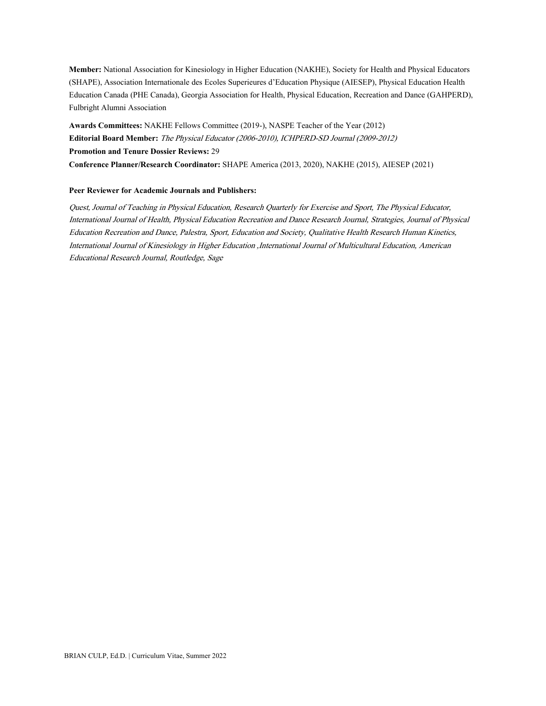**Member:** National Association for Kinesiology in Higher Education (NAKHE), Society for Health and Physical Educators (SHAPE), Association Internationale des Ecoles Superieures d'Education Physique (AIESEP), Physical Education Health Education Canada (PHE Canada), Georgia Association for Health, Physical Education, Recreation and Dance (GAHPERD), Fulbright Alumni Association

**Awards Committees:** NAKHE Fellows Committee (2019-), NASPE Teacher of the Year (2012) **Editorial Board Member:** The Physical Educator (2006-2010), ICHPERD-SD Journal (2009-2012) **Promotion and Tenure Dossier Reviews:** 29 **Conference Planner/Research Coordinator:** SHAPE America (2013, 2020), NAKHE (2015), AIESEP (2021)

#### **Peer Reviewer for Academic Journals and Publishers:**

Quest, Journal of Teaching in Physical Education, Research Quarterly for Exercise and Sport, The Physical Educator, International Journal of Health, Physical Education Recreation and Dance Research Journal, Strategies, Journal of Physical Education Recreation and Dance, Palestra, Sport, Education and Society, Qualitative Health Research Human Kinetics, International Journal of Kinesiology in Higher Education ,International Journal of Multicultural Education, American Educational Research Journal, Routledge, Sage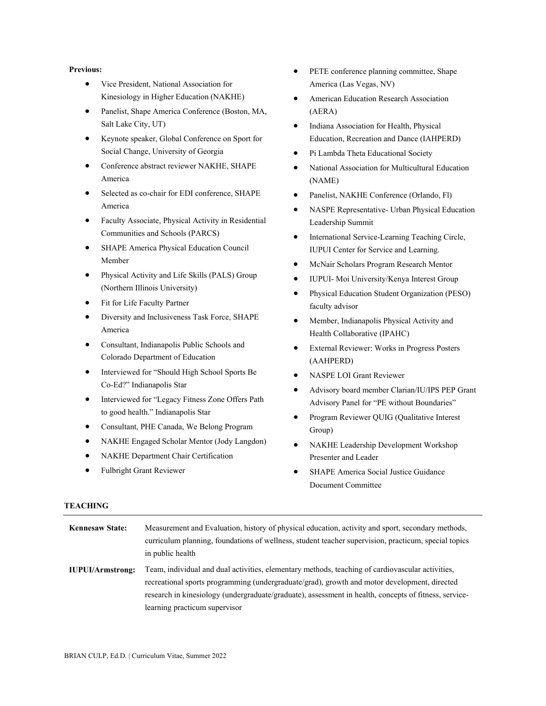#### **Previous:**

- Vice President, National Association for Kinesiology in Higher Education (NAKHE)
- Panelist, Shape America Conference (Boston, MA, Salt Lake City, UT)
- Keynote speaker, Global Conference on Sport for Social Change, University of Georgia
- Conference abstract reviewer NAKHE, SHAPE America
- Selected as co-chair for EDI conference, SHAPE America
- Faculty Associate, Physical Activity in Residential Communities and Schools (PARCS)
- SHAPE America Physical Education Council Member
- Physical Activity and Life Skills (PALS) Group (Northern Illinois University)
- Fit for Life Faculty Partner
- Diversity and Inclusiveness Task Force, SHAPE America
- Consultant, Indianapolis Public Schools and Colorado Department of Education
- Interviewed for "Should High School Sports Be Co-Ed?" Indianapolis Star
- Interviewed for "Legacy Fitness Zone Offers Path to good health." Indianapolis Star
- Consultant, PHE Canada, We Belong Program
- NAKHE Engaged Scholar Mentor (Jody Langdon)
- NAKHE Department Chair Certification
- Fulbright Grant Reviewer
- PETE conference planning committee, Shape America (Las Vegas, NV)
- American Education Research Association (AERA)
- Indiana Association for Health, Physical Education, Recreation and Dance (IAHPERD)
- Pi Lambda Theta Educational Society
- National Association for Multicultural Education (NAME)
- Panelist, NAKHE Conference (Orlando, Fl)
- NASPE Representative- Urban Physical Education Leadership Summit
- International Service-Learning Teaching Circle, IUPUI Center for Service and Learning.
- McNair Scholars Program Research Mentor
- IUPUI- Moi University/Kenya Interest Group
- Physical Education Student Organization (PESO) faculty advisor
- Member, Indianapolis Physical Activity and Health Collaborative (IPAHC)
- External Reviewer: Works in Progress Posters (AAHPERD)
- NASPE LOI Grant Reviewer
- Advisory board member Clarian/IU/IPS PEP Grant Advisory Panel for "PE without Boundaries"
- Program Reviewer QUIG (Qualitative Interest Group)
- NAKHE Leadership Development Workshop Presenter and Leader
- SHAPE America Social Justice Guidance Document Committee

### **TEACHING**

| <b>Kennesaw State:</b>  | Measurement and Evaluation, history of physical education, activity and sport, secondary methods,<br>curriculum planning, foundations of wellness, student teacher supervision, practicum, special topics<br>in public health                                                                                                              |
|-------------------------|--------------------------------------------------------------------------------------------------------------------------------------------------------------------------------------------------------------------------------------------------------------------------------------------------------------------------------------------|
| <b>IUPUI/Armstrong:</b> | Team, individual and dual activities, elementary methods, teaching of cardiovascular activities,<br>recreational sports programming (undergraduate/grad), growth and motor development, directed<br>research in kinesiology (undergraduate/graduate), assessment in health, concepts of fitness, service-<br>learning practicum supervisor |